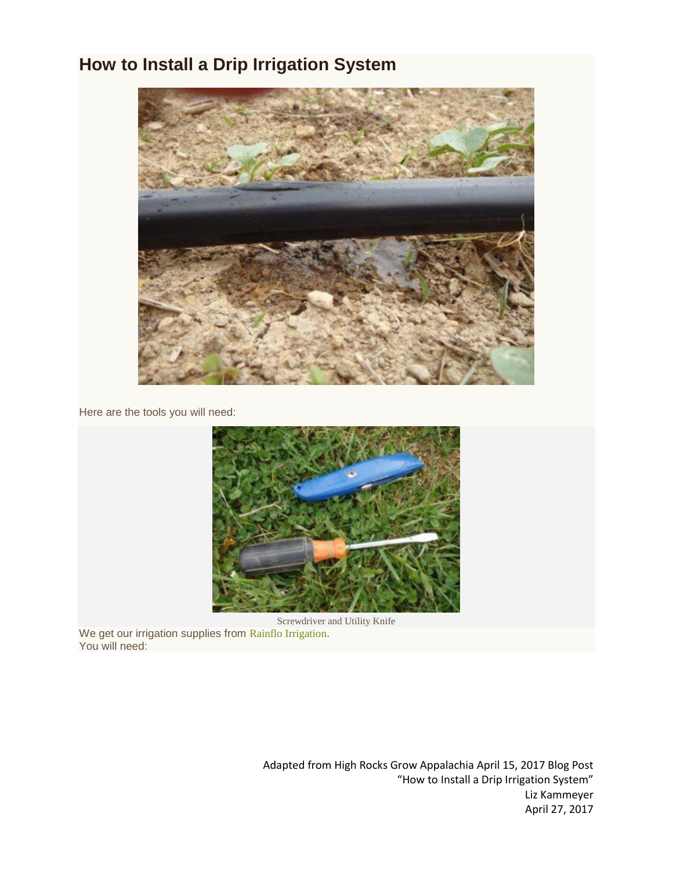### **How to Install a Drip Irrigation System**



Here are the tools you will need:



Screwdriver and Utility Knife We get our irrigation supplies from Rainflo [Irrigation](http://www.rainfloirrigation.com/). You will need: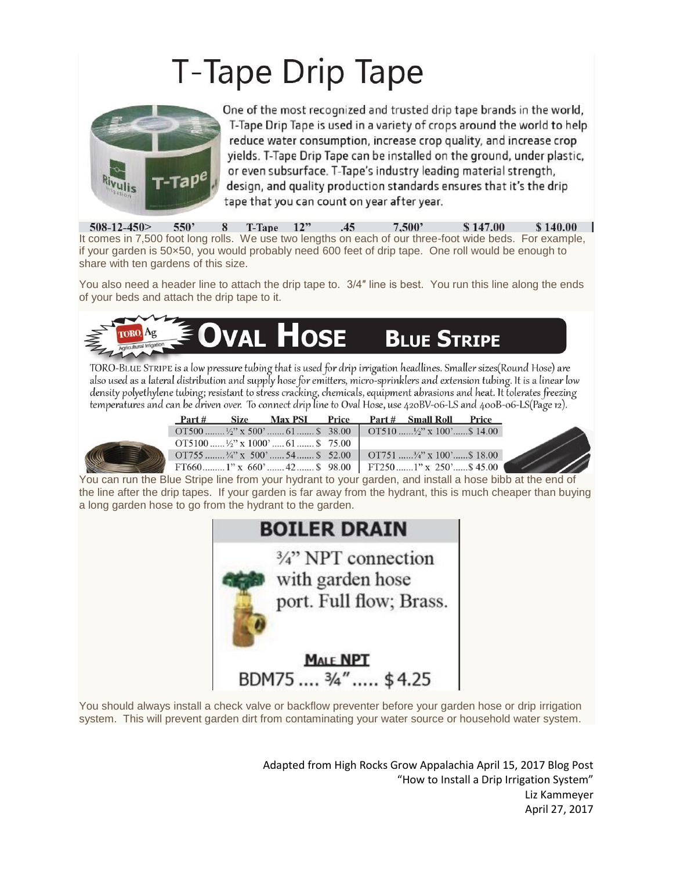# T-Tape Drip Tape



One of the most recognized and trusted drip tape brands in the world, T-Tape Drip Tape is used in a variety of crops around the world to help reduce water consumption, increase crop quality, and increase crop yields. T-Tape Drip Tape can be installed on the ground, under plastic, or even subsurface. T-Tape's industry leading material strength, design, and quality production standards ensures that it's the drip tape that you can count on year after year.

 $508 - 12 - 450$  $550'$  $T$ -Tape  $12"$  $.45$  $7.500'$ \$147.00 8 \$140.00 It comes in 7,500 foot long rolls. We use two lengths on each of our three-foot wide beds. For example, if your garden is 50×50, you would probably need 600 feet of drip tape. One roll would be enough to share with ten gardens of this size.

You also need a header line to attach the drip tape to. 3/4″ line is best. You run this line along the ends of your beds and attach the drip tape to it.



TORO-BLUE STRIPE is a low pressure tubing that is used for drip irrigation headlines. Smaller sizes(Round Hose) are also used as a lateral distribution and supply hose for emitters, micro-sprinklers and extension tubing. It is a linear low density polyethylene tubing; resistant to stress cracking, chemicals, equipment abrasions and heat. It tolerates freezing temperatures and can be driven over. To connect drip line to Oval Hose, use 420BV-06-LS and 400B-06-LS(Page 12).

| Part # | Size Max PSI Price                                                                          |  | Part # Small Roll Price |  |
|--------|---------------------------------------------------------------------------------------------|--|-------------------------|--|
|        | OT500 $\frac{1}{2}$ x 500'  61  \$ 38.00   OT510 $\frac{1}{2}$ x 100'  \$ 14.00             |  |                         |  |
|        | OT5100 $\frac{1}{2}$ " x 1000'  61  \$ 75.00                                                |  |                         |  |
|        | $\overline{01755}$ <sup>3</sup> / <sub>4</sub> <sup>3</sup> x 500 <sup>3</sup> 54  \$ 52.00 |  |                         |  |
|        | FT660 1" x 660' 42 \$ 98.00 FT250 1" x 250' \$ 45.00                                        |  |                         |  |

You can run the Blue Stripe line from your hydrant to your garden, and install a hose bibb at the end of the line after the drip tapes. If your garden is far away from the hydrant, this is much cheaper than buying a long garden hose to go from the hydrant to the garden.



You should always install a check valve or backflow preventer before your garden hose or drip irrigation system. This will prevent garden dirt from contaminating your water source or household water system.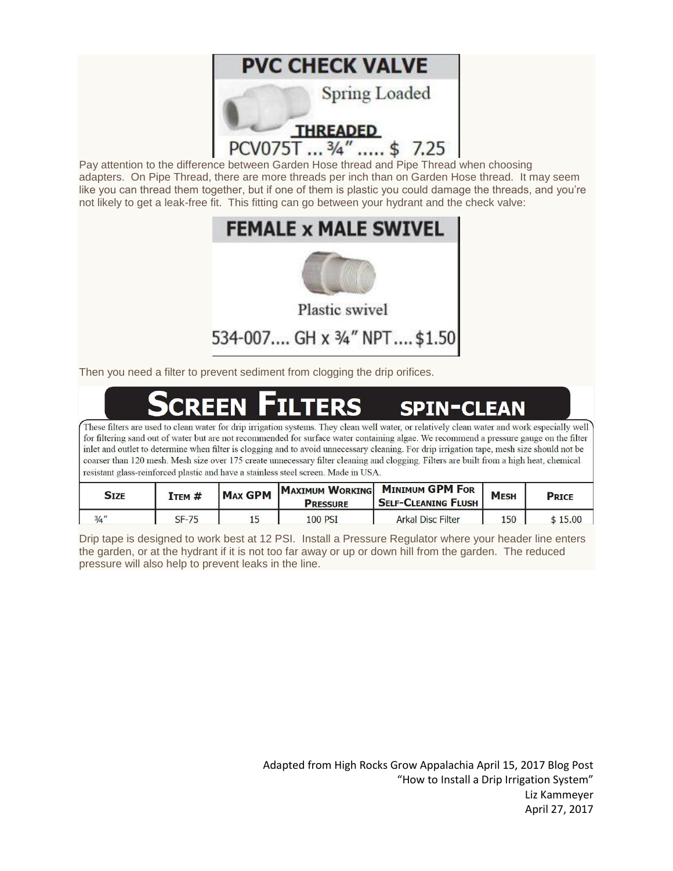

Pay attention to the difference between Garden Hose thread and Pipe Thread when choosing adapters. On Pipe Thread, there are more threads per inch than on Garden Hose thread. It may seem like you can thread them together, but if one of them is plastic you could damage the threads, and you're not likely to get a leak-free fit. This fitting can go between your hydrant and the check valve:

## **FEMALE x MALE SWIVEL**



Plastic swivel

## 534-007.... GH x 3/4" NPT.... \$1.50

Then you need a filter to prevent sediment from clogging the drip orifices.

#### **SPIN-CLEAN** TERS

These filters are used to clean water for drip irrigation systems. They clean well water, or relatively clean water and work especially well for filtering sand out of water but are not recommended for surface water containing algae. We recommend a pressure gauge on the filter inlet and outlet to determine when filter is clogging and to avoid unnecessary cleaning. For drip irrigation tape, mesh size should not be coarser than 120 mesh. Mesh size over 175 create unnecessary filter cleaning and clogging. Filters are built from a high heat, chemical resistant glass-reinforced plastic and have a stainless steel screen. Made in USA.

| <b>SIZE</b> | ITEM #  | <b>MAX GPM</b> | <b>PRESSURE</b> | MAXIMUM WORKING MINIMUM GPM FOR<br><b>SELF-CLEANING FLUSH</b> | <b>MESH</b> | <b>PRICE</b> |
|-------------|---------|----------------|-----------------|---------------------------------------------------------------|-------------|--------------|
| $3/4$ "     | $SF-75$ |                | <b>100 PSI</b>  | Arkal Disc Filter                                             | 150         | 15.00        |

Drip tape is designed to work best at 12 PSI. Install a Pressure Regulator where your header line enters the garden, or at the hydrant if it is not too far away or up or down hill from the garden. The reduced pressure will also help to prevent leaks in the line.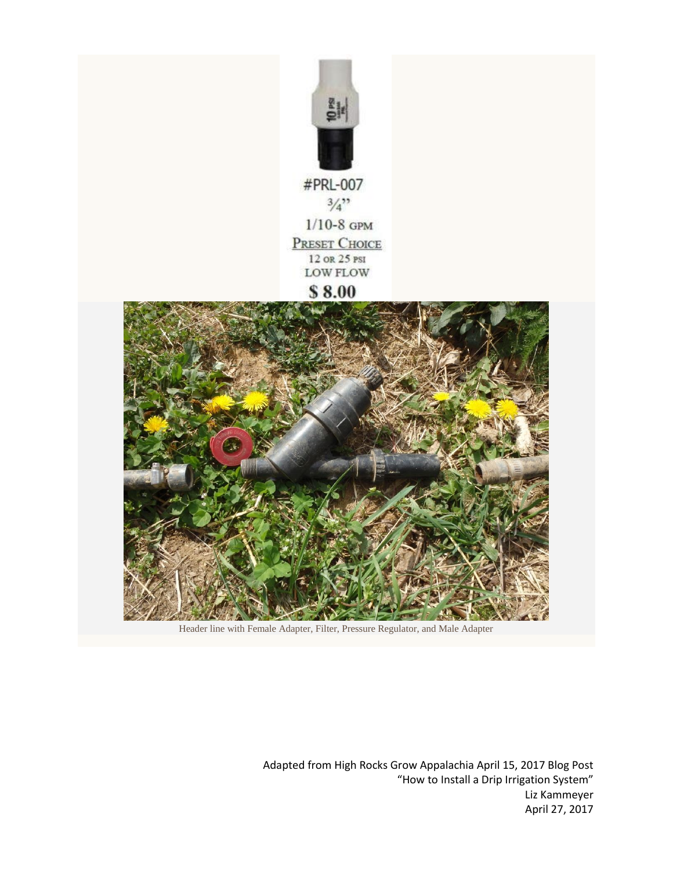

 $3/4$  $1/10-8$  GPM **PRESET CHOICE** 12 OR 25 PSI **LOW FLOW** 

#### \$8.00



Header line with Female Adapter, Filter, Pressure Regulator, and Male Adapter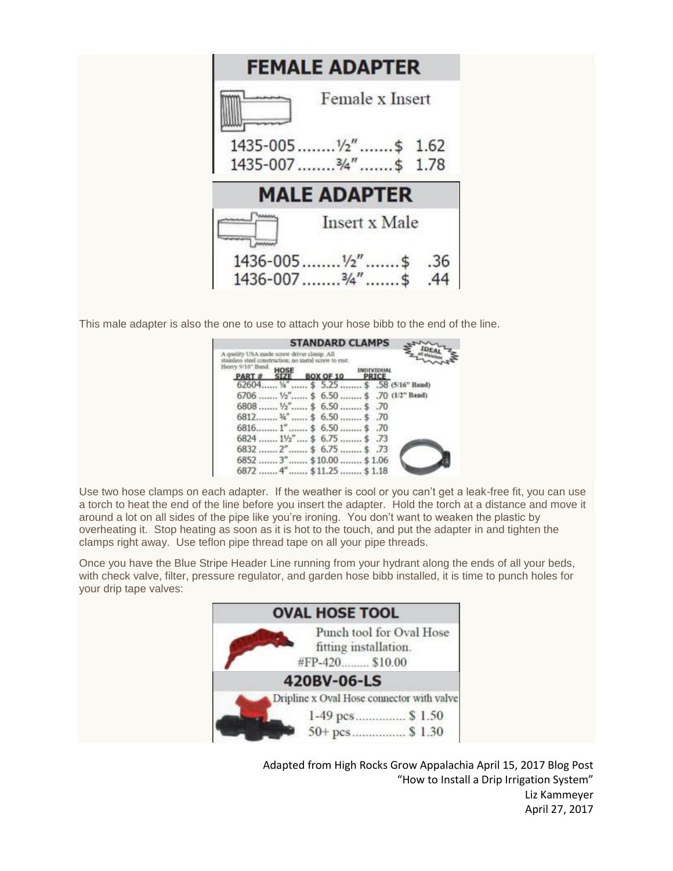

This male adapter is also the one to use to attach your hose bibb to the end of the line.

| <b>STANDARD CLAMPS</b>                                                                              |
|-----------------------------------------------------------------------------------------------------|
| A quality USA made screw driver clamp. All<br>stainless steel construction; no metal screw to rust. |
| Heavy 9/16" Band.<br><b>IMENTUTU</b><br><b>BOX OF 10</b><br>PART#<br><b>PRICE</b>                   |
| \$5.25  \$58 (5/16" Band)<br>62604                                                                  |
| $6706$ $1/2$ " \$ 6.50  \$ .70 (1/2" Band)                                                          |
| 6808 $1/2$ " \$ 6.50 \$ .70                                                                         |
| 6812 $\frac{1}{4}$ \$ 6.50  \$ .70                                                                  |
| $6816$ 1" \$ 6.50 \$ .70                                                                            |
| 6824  11/2"  \$ 6.75  \$ .73                                                                        |
| $6832$ $2^{\prime\prime}$ \$ 6.75  \$ .73                                                           |
| 6852  3"  \$10.00  \$1.06                                                                           |
| $, 4"$ $$ \$11.25 $$ \$1.18<br>6872                                                                 |

Use two hose clamps on each adapter. If the weather is cool or you can't get a leak-free fit, you can use a torch to heat the end of the line before you insert the adapter. Hold the torch at a distance and move it around a lot on all sides of the pipe like you're ironing. You don't want to weaken the plastic by overheating it. Stop heating as soon as it is hot to the touch, and put the adapter in and tighten the clamps right away. Use teflon pipe thread tape on all your pipe threads.

Once you have the Blue Stripe Header Line running from your hydrant along the ends of all your beds, with check valve, filter, pressure regulator, and garden hose bibb installed, it is time to punch holes for your drip tape valves:

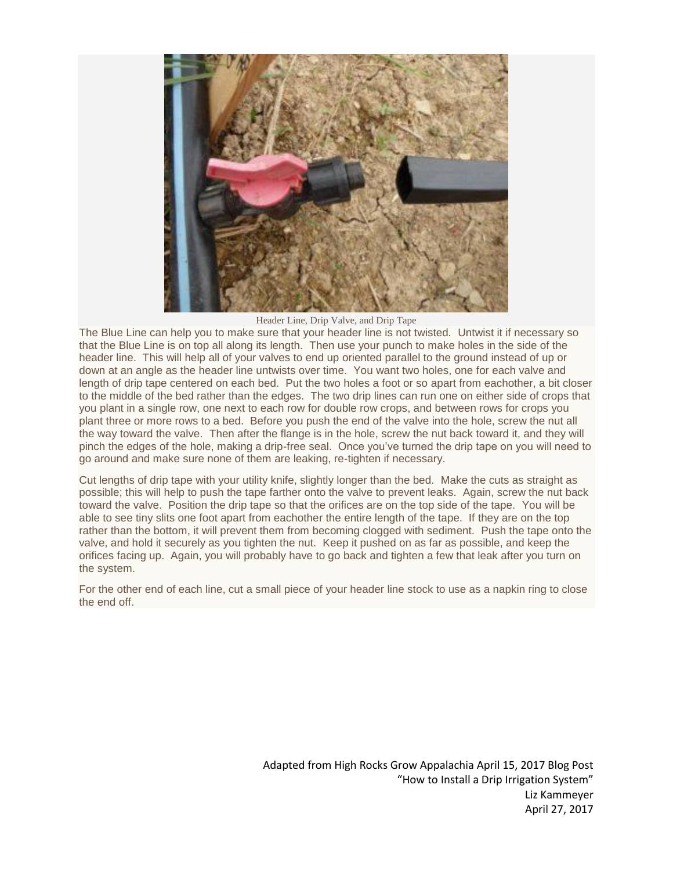

Header Line, Drip Valve, and Drip Tape

The Blue Line can help you to make sure that your header line is not twisted. Untwist it if necessary so that the Blue Line is on top all along its length. Then use your punch to make holes in the side of the header line. This will help all of your valves to end up oriented parallel to the ground instead of up or down at an angle as the header line untwists over time. You want two holes, one for each valve and length of drip tape centered on each bed. Put the two holes a foot or so apart from eachother, a bit closer to the middle of the bed rather than the edges. The two drip lines can run one on either side of crops that you plant in a single row, one next to each row for double row crops, and between rows for crops you plant three or more rows to a bed. Before you push the end of the valve into the hole, screw the nut all the way toward the valve. Then after the flange is in the hole, screw the nut back toward it, and they will pinch the edges of the hole, making a drip-free seal. Once you've turned the drip tape on you will need to go around and make sure none of them are leaking, re-tighten if necessary.

Cut lengths of drip tape with your utility knife, slightly longer than the bed. Make the cuts as straight as possible; this will help to push the tape farther onto the valve to prevent leaks. Again, screw the nut back toward the valve. Position the drip tape so that the orifices are on the top side of the tape. You will be able to see tiny slits one foot apart from eachother the entire length of the tape. If they are on the top rather than the bottom, it will prevent them from becoming clogged with sediment. Push the tape onto the valve, and hold it securely as you tighten the nut. Keep it pushed on as far as possible, and keep the orifices facing up. Again, you will probably have to go back and tighten a few that leak after you turn on the system.

For the other end of each line, cut a small piece of your header line stock to use as a napkin ring to close the end off.